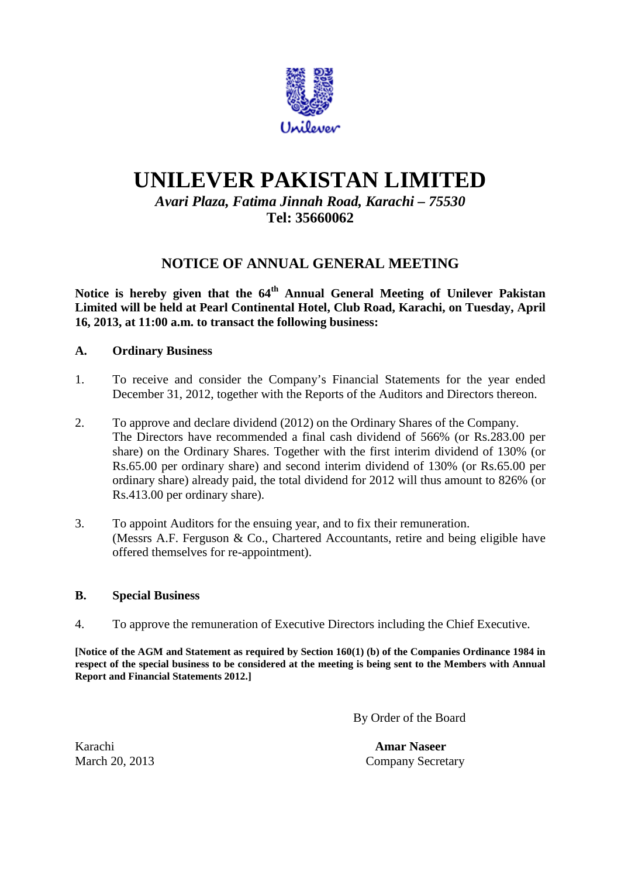

# **UNILEVER PAKISTAN LIMITED**

# *Avari Plaza, Fatima Jinnah Road, Karachi – 75530* **Tel: 35660062**

# **NOTICE OF ANNUAL GENERAL MEETING**

**Notice is hereby given that the 64th Annual General Meeting of Unilever Pakistan Limited will be held at Pearl Continental Hotel, Club Road, Karachi, on Tuesday, April 16, 2013, at 11:00 a.m. to transact the following business:**

## **A. Ordinary Business**

- 1. To receive and consider the Company's Financial Statements for the year ended December 31, 2012, together with the Reports of the Auditors and Directors thereon.
- 2. To approve and declare dividend (2012) on the Ordinary Shares of the Company. The Directors have recommended a final cash dividend of 566% (or Rs.283.00 per share) on the Ordinary Shares. Together with the first interim dividend of 130% (or Rs.65.00 per ordinary share) and second interim dividend of 130% (or Rs.65.00 per ordinary share) already paid, the total dividend for 2012 will thus amount to 826% (or Rs.413.00 per ordinary share).
- 3. To appoint Auditors for the ensuing year, and to fix their remuneration. (Messrs A.F. Ferguson & Co., Chartered Accountants, retire and being eligible have offered themselves for re-appointment).

#### **B. Special Business**

4. To approve the remuneration of Executive Directors including the Chief Executive.

**[Notice of the AGM and Statement as required by Section 160(1) (b) of the Companies Ordinance 1984 in respect of the special business to be considered at the meeting is being sent to the Members with Annual Report and Financial Statements 2012.]**

By Order of the Board

Karachi **Amar Naseer** March 20, 2013 Company Secretary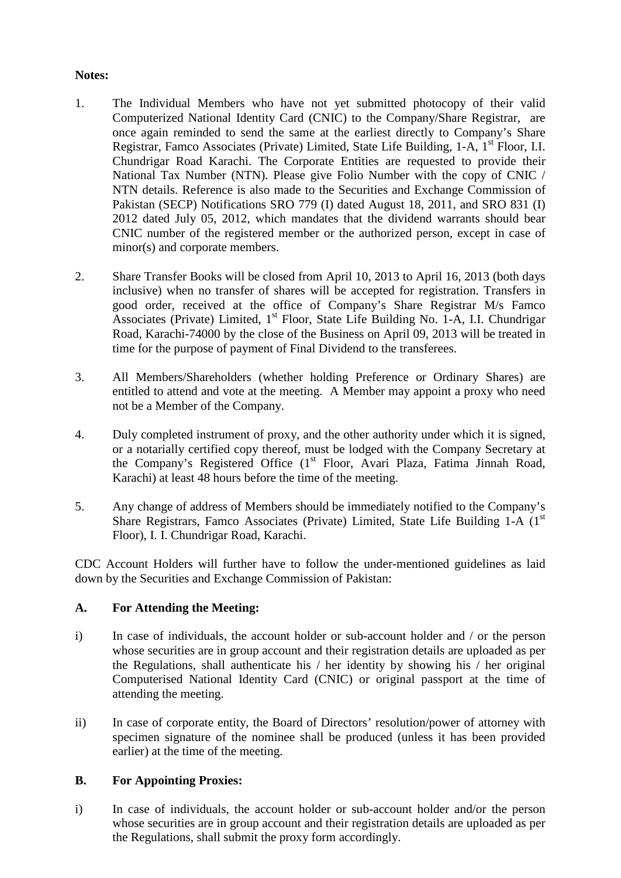## **Notes:**

- 1. The Individual Members who have not yet submitted photocopy of their valid Computerized National Identity Card (CNIC) to the Company/Share Registrar, are once again reminded to send the same at the earliest directly to Company's Share Registrar, Famco Associates (Private) Limited, State Life Building, 1-A, 1<sup>st</sup> Floor, I.I. Chundrigar Road Karachi. The Corporate Entities are requested to provide their National Tax Number (NTN). Please give Folio Number with the copy of CNIC / NTN details. Reference is also made to the Securities and Exchange Commission of Pakistan (SECP) Notifications SRO 779 (I) dated August 18, 2011, and SRO 831 (I) 2012 dated July 05, 2012, which mandates that the dividend warrants should bear CNIC number of the registered member or the authorized person, except in case of minor(s) and corporate members.
- 2. Share Transfer Books will be closed from April 10, 2013 to April 16, 2013 (both days inclusive) when no transfer of shares will be accepted for registration. Transfers in good order, received at the office of Company's Share Registrar M/s Famco Associates (Private) Limited,  $1<sup>st</sup>$  Floor, State Life Building No. 1-A, I.I. Chundrigar Road, Karachi-74000 by the close of the Business on April 09, 2013 will be treated in time for the purpose of payment of Final Dividend to the transferees.
- 3. All Members/Shareholders (whether holding Preference or Ordinary Shares) are entitled to attend and vote at the meeting. A Member may appoint a proxy who need not be a Member of the Company.
- 4. Duly completed instrument of proxy, and the other authority under which it is signed, or a notarially certified copy thereof, must be lodged with the Company Secretary at the Company's Registered Office (1<sup>st</sup> Floor, Avari Plaza, Fatima Jinnah Road, Karachi) at least 48 hours before the time of the meeting.
- 5. Any change of address of Members should be immediately notified to the Company's Share Registrars, Famco Associates (Private) Limited, State Life Building 1-A (1<sup>st</sup>) Floor), I. I. Chundrigar Road, Karachi.

CDC Account Holders will further have to follow the under-mentioned guidelines as laid down by the Securities and Exchange Commission of Pakistan:

## **A. For Attending the Meeting:**

- i) In case of individuals, the account holder or sub-account holder and / or the person whose securities are in group account and their registration details are uploaded as per the Regulations, shall authenticate his / her identity by showing his / her original Computerised National Identity Card (CNIC) or original passport at the time of attending the meeting.
- ii) In case of corporate entity, the Board of Directors' resolution/power of attorney with specimen signature of the nominee shall be produced (unless it has been provided earlier) at the time of the meeting.

#### **B. For Appointing Proxies:**

i) In case of individuals, the account holder or sub-account holder and/or the person whose securities are in group account and their registration details are uploaded as per the Regulations, shall submit the proxy form accordingly.